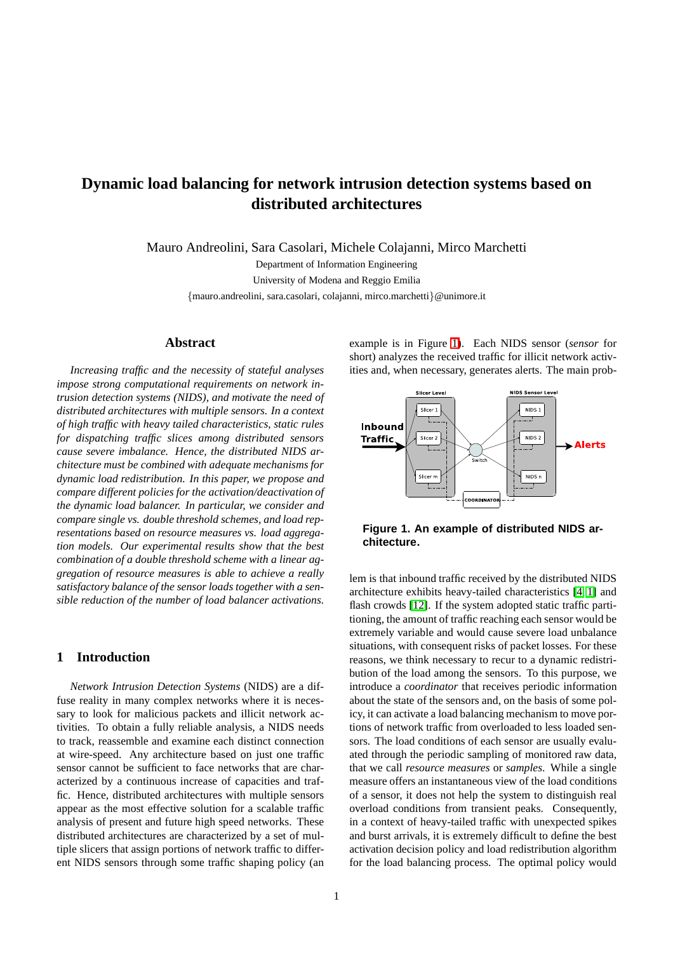# **Dynamic load balancing for network intrusion detection systems based on distributed architectures**

Mauro Andreolini, Sara Casolari, Michele Colajanni, Mirco Marchetti

Department of Information Engineering

University of Modena and Reggio Emilia

{mauro.andreolini, sara.casolari, colajanni, mirco.marchetti}@unimore.it

# **Abstract**

*Increasing traffic and the necessity of stateful analyses impose strong computational requirements on network intrusion detection systems (NIDS), and motivate the need of distributed architectures with multiple sensors. In a context of high traffic with heavy tailed characteristics, static rules for dispatching traffic slices among distributed sensors cause severe imbalance. Hence, the distributed NIDS architecture must be combined with adequate mechanisms for dynamic load redistribution. In this paper, we propose and compare different policies for the activation/deactivation of the dynamic load balancer. In particular, we consider and compare single vs. double threshold schemes, and load representations based on resource measures vs. load aggregation models. Our experimental results show that the best combination of a double threshold scheme with a linear aggregation of resource measures is able to achieve a really satisfactory balance of the sensor loads together with a sensible reduction of the number of load balancer activations.*

## **1 Introduction**

*Network Intrusion Detection Systems* (NIDS) are a diffuse reality in many complex networks where it is necessary to look for malicious packets and illicit network activities. To obtain a fully reliable analysis, a NIDS needs to track, reassemble and examine each distinct connection at wire-speed. Any architecture based on just one traffic sensor cannot be sufficient to face networks that are characterized by a continuous increase of capacities and traffic. Hence, distributed architectures with multiple sensors appear as the most effective solution for a scalable traffic analysis of present and future high speed networks. These distributed architectures are characterized by a set of multiple slicers that assign portions of network traffic to different NIDS sensors through some traffic shaping policy (an example is in Figure [1\)](#page-0-0). Each NIDS sensor (*sensor* for short) analyzes the received traffic for illicit network activities and, when necessary, generates alerts. The main prob-



<span id="page-0-0"></span>**Figure 1. An example of distributed NIDS architecture.**

lem is that inbound traffic received by the distributed NIDS architecture exhibits heavy-tailed characteristics [\[4,](#page-7-0) [1\]](#page-7-1) and flash crowds [\[12\]](#page-7-2). If the system adopted static traffic partitioning, the amount of traffic reaching each sensor would be extremely variable and would cause severe load unbalance situations, with consequent risks of packet losses. For these reasons, we think necessary to recur to a dynamic redistribution of the load among the sensors. To this purpose, we introduce a *coordinator* that receives periodic information about the state of the sensors and, on the basis of some policy, it can activate a load balancing mechanism to move portions of network traffic from overloaded to less loaded sensors. The load conditions of each sensor are usually evaluated through the periodic sampling of monitored raw data, that we call *resource measures* or *samples*. While a single measure offers an instantaneous view of the load conditions of a sensor, it does not help the system to distinguish real overload conditions from transient peaks. Consequently, in a context of heavy-tailed traffic with unexpected spikes and burst arrivals, it is extremely difficult to define the best activation decision policy and load redistribution algorithm for the load balancing process. The optimal policy would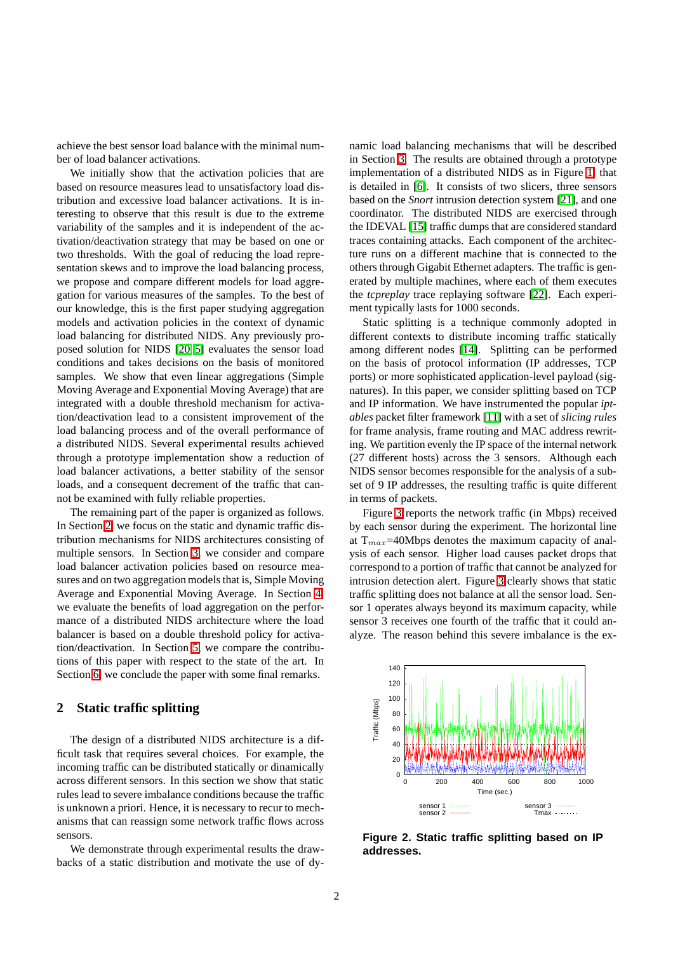achieve the best sensor load balance with the minimal number of load balancer activations.

We initially show that the activation policies that are based on resource measures lead to unsatisfactory load distribution and excessive load balancer activations. It is interesting to observe that this result is due to the extreme variability of the samples and it is independent of the activation/deactivation strategy that may be based on one or two thresholds. With the goal of reducing the load representation skews and to improve the load balancing process, we propose and compare different models for load aggregation for various measures of the samples. To the best of our knowledge, this is the first paper studying aggregation models and activation policies in the context of dynamic load balancing for distributed NIDS. Any previously proposed solution for NIDS [\[20,](#page-7-3) [5\]](#page-7-4) evaluates the sensor load conditions and takes decisions on the basis of monitored samples. We show that even linear aggregations (Simple Moving Average and Exponential Moving Average) that are integrated with a double threshold mechanism for activation/deactivation lead to a consistent improvement of the load balancing process and of the overall performance of a distributed NIDS. Several experimental results achieved through a prototype implementation show a reduction of load balancer activations, a better stability of the sensor loads, and a consequent decrement of the traffic that cannot be examined with fully reliable properties.

The remaining part of the paper is organized as follows. In Section [2,](#page-1-0) we focus on the static and dynamic traffic distribution mechanisms for NIDS architectures consisting of multiple sensors. In Section [3,](#page-2-0) we consider and compare load balancer activation policies based on resource measures and on two aggregation models that is, Simple Moving Average and Exponential Moving Average. In Section [4,](#page-4-0) we evaluate the benefits of load aggregation on the performance of a distributed NIDS architecture where the load balancer is based on a double threshold policy for activation/deactivation. In Section [5,](#page-6-0) we compare the contributions of this paper with respect to the state of the art. In Section [6,](#page-6-1) we conclude the paper with some final remarks.

# <span id="page-1-0"></span>**2 Static traffic splitting**

The design of a distributed NIDS architecture is a difficult task that requires several choices. For example, the incoming traffic can be distributed statically or dinamically across different sensors. In this section we show that static rules lead to severe imbalance conditions because the traffic is unknown a priori. Hence, it is necessary to recur to mechanisms that can reassign some network traffic flows across sensors.

We demonstrate through experimental results the drawbacks of a static distribution and motivate the use of dynamic load balancing mechanisms that will be described in Section [3.](#page-2-0) The results are obtained through a prototype implementation of a distributed NIDS as in Figure [1,](#page-0-0) that is detailed in [\[6\]](#page-7-5). It consists of two slicers, three sensors based on the *Snort* intrusion detection system [\[21\]](#page-7-6), and one coordinator. The distributed NIDS are exercised through the IDEVAL [\[15\]](#page-7-7) traffic dumps that are considered standard traces containing attacks. Each component of the architecture runs on a different machine that is connected to the others through Gigabit Ethernet adapters. The traffic is generated by multiple machines, where each of them executes the *tcpreplay* trace replaying software [\[22\]](#page-7-8). Each experiment typically lasts for 1000 seconds.

Static splitting is a technique commonly adopted in different contexts to distribute incoming traffic statically among different nodes [\[14\]](#page-7-9). Splitting can be performed on the basis of protocol information (IP addresses, TCP ports) or more sophisticated application-level payload (signatures). In this paper, we consider splitting based on TCP and IP information. We have instrumented the popular *iptables* packet filter framework [\[11\]](#page-7-10) with a set of *slicing rules* for frame analysis, frame routing and MAC address rewriting. We partition evenly the IP space of the internal network (27 different hosts) across the 3 sensors. Although each NIDS sensor becomes responsible for the analysis of a subset of 9 IP addresses, the resulting traffic is quite different in terms of packets.

Figure [3](#page-3-0) reports the network traffic (in Mbps) received by each sensor during the experiment. The horizontal line at  $T_{max}=40$ Mbps denotes the maximum capacity of analysis of each sensor. Higher load causes packet drops that correspond to a portion of traffic that cannot be analyzed for intrusion detection alert. Figure [3](#page-3-0) clearly shows that static traffic splitting does not balance at all the sensor load. Sensor 1 operates always beyond its maximum capacity, while sensor 3 receives one fourth of the traffic that it could analyze. The reason behind this severe imbalance is the ex-



<span id="page-1-1"></span>**Figure 2. Static traffic splitting based on IP addresses.**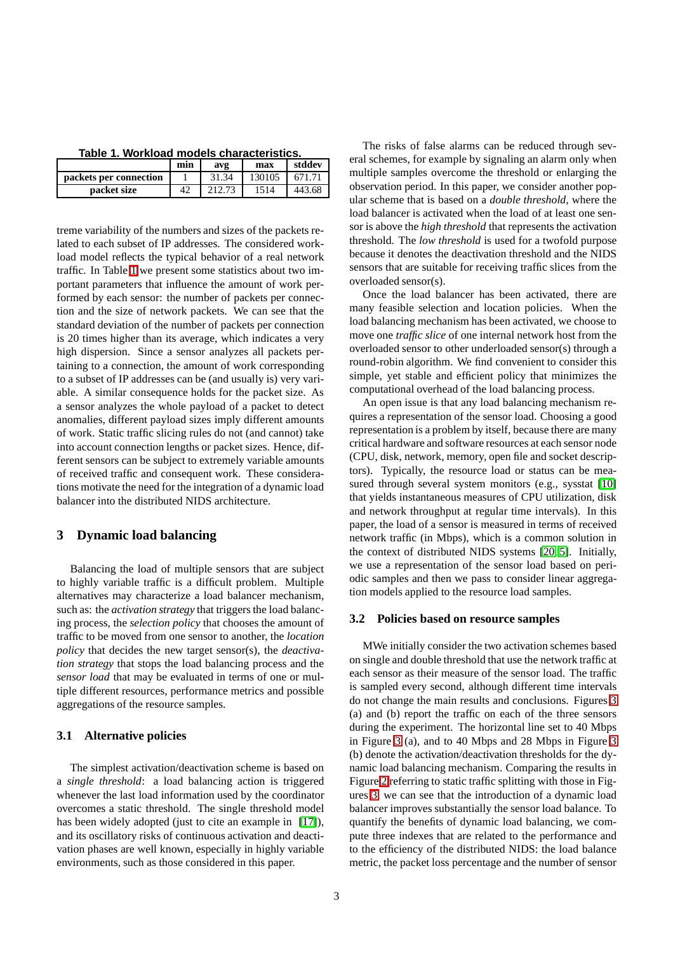| Table 1. Workload models characteristics. |  |
|-------------------------------------------|--|
|-------------------------------------------|--|

<span id="page-2-1"></span>

|                        | min | avg    | max    | stddev |
|------------------------|-----|--------|--------|--------|
| packets per connection |     | 31.34  | 130105 | 671.71 |
| packet size            | 42  | 212.73 | 1514   | 443.68 |

treme variability of the numbers and sizes of the packets related to each subset of IP addresses. The considered workload model reflects the typical behavior of a real network traffic. In Table [1](#page-2-1) we present some statistics about two important parameters that influence the amount of work performed by each sensor: the number of packets per connection and the size of network packets. We can see that the standard deviation of the number of packets per connection is 20 times higher than its average, which indicates a very high dispersion. Since a sensor analyzes all packets pertaining to a connection, the amount of work corresponding to a subset of IP addresses can be (and usually is) very variable. A similar consequence holds for the packet size. As a sensor analyzes the whole payload of a packet to detect anomalies, different payload sizes imply different amounts of work. Static traffic slicing rules do not (and cannot) take into account connection lengths or packet sizes. Hence, different sensors can be subject to extremely variable amounts of received traffic and consequent work. These considerations motivate the need for the integration of a dynamic load balancer into the distributed NIDS architecture.

# <span id="page-2-0"></span>**3 Dynamic load balancing**

Balancing the load of multiple sensors that are subject to highly variable traffic is a difficult problem. Multiple alternatives may characterize a load balancer mechanism, such as: the *activation strategy* that triggers the load balancing process, the *selection policy* that chooses the amount of traffic to be moved from one sensor to another, the *location policy* that decides the new target sensor(s), the *deactivation strategy* that stops the load balancing process and the *sensor load* that may be evaluated in terms of one or multiple different resources, performance metrics and possible aggregations of the resource samples.

# **3.1 Alternative policies**

The simplest activation/deactivation scheme is based on a *single threshold*: a load balancing action is triggered whenever the last load information used by the coordinator overcomes a static threshold. The single threshold model has been widely adopted (just to cite an example in [\[17\]](#page-7-11)), and its oscillatory risks of continuous activation and deactivation phases are well known, especially in highly variable environments, such as those considered in this paper.

The risks of false alarms can be reduced through several schemes, for example by signaling an alarm only when multiple samples overcome the threshold or enlarging the observation period. In this paper, we consider another popular scheme that is based on a *double threshold*, where the load balancer is activated when the load of at least one sensor is above the *high threshold* that represents the activation threshold. The *low threshold* is used for a twofold purpose because it denotes the deactivation threshold and the NIDS sensors that are suitable for receiving traffic slices from the overloaded sensor(s).

Once the load balancer has been activated, there are many feasible selection and location policies. When the load balancing mechanism has been activated, we choose to move one *traffic slice* of one internal network host from the overloaded sensor to other underloaded sensor(s) through a round-robin algorithm. We find convenient to consider this simple, yet stable and efficient policy that minimizes the computational overhead of the load balancing process.

An open issue is that any load balancing mechanism requires a representation of the sensor load. Choosing a good representation is a problem by itself, because there are many critical hardware and software resources at each sensor node (CPU, disk, network, memory, open file and socket descriptors). Typically, the resource load or status can be mea-sured through several system monitors (e.g., sysstat [\[10\]](#page-7-12) that yields instantaneous measures of CPU utilization, disk and network throughput at regular time intervals). In this paper, the load of a sensor is measured in terms of received network traffic (in Mbps), which is a common solution in the context of distributed NIDS systems [\[20,](#page-7-3) [5\]](#page-7-4). Initially, we use a representation of the sensor load based on periodic samples and then we pass to consider linear aggregation models applied to the resource load samples.

#### **3.2 Policies based on resource samples**

MWe initially consider the two activation schemes based on single and double threshold that use the network traffic at each sensor as their measure of the sensor load. The traffic is sampled every second, although different time intervals do not change the main results and conclusions. Figures [3](#page-3-0) (a) and (b) report the traffic on each of the three sensors during the experiment. The horizontal line set to 40 Mbps in Figure [3](#page-3-0) (a), and to 40 Mbps and 28 Mbps in Figure [3](#page-3-0) (b) denote the activation/deactivation thresholds for the dynamic load balancing mechanism. Comparing the results in Figure [2](#page-1-1) referring to static traffic splitting with those in Figures [3,](#page-3-0) we can see that the introduction of a dynamic load balancer improves substantially the sensor load balance. To quantify the benefits of dynamic load balancing, we compute three indexes that are related to the performance and to the efficiency of the distributed NIDS: the load balance metric, the packet loss percentage and the number of sensor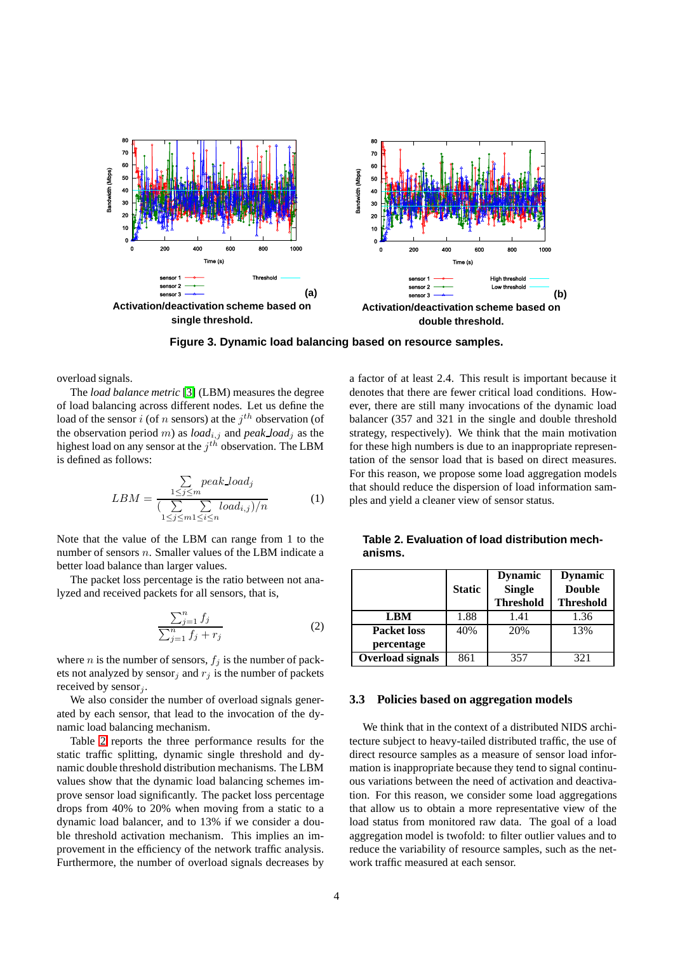

<span id="page-3-0"></span>**Figure 3. Dynamic load balancing based on resource samples.**

overload signals.

The *load balance metric* [\[3\]](#page-7-13) (LBM) measures the degree of load balancing across different nodes. Let us define the load of the sensor i (of n sensors) at the  $j<sup>th</sup>$  observation (of the observation period m) as  $load_{i,j}$  and  $peak\$ ioad<sub>j</sub> as the highest load on any sensor at the  $j^{th}$  observation. The LBM is defined as follows:

$$
LBM = \frac{\sum\limits_{1 \le j \le m} peak\_{load_j}}{(\sum\limits_{1 \le j \le m} \sum\limits_{1 \le i \le n} load_{i,j})/n}
$$
(1)

Note that the value of the LBM can range from 1 to the number of sensors  $n$ . Smaller values of the LBM indicate a better load balance than larger values.

The packet loss percentage is the ratio between not analyzed and received packets for all sensors, that is,

$$
\frac{\sum_{j=1}^{n} f_j}{\sum_{j=1}^{n} f_j + r_j}
$$
 (2)

where *n* is the number of sensors,  $f_j$  is the number of packets not analyzed by sensor<sub>j</sub> and  $r_j$  is the number of packets received by sensor $_i$ .

We also consider the number of overload signals generated by each sensor, that lead to the invocation of the dynamic load balancing mechanism.

Table [2](#page-3-1) reports the three performance results for the static traffic splitting, dynamic single threshold and dynamic double threshold distribution mechanisms. The LBM values show that the dynamic load balancing schemes improve sensor load significantly. The packet loss percentage drops from 40% to 20% when moving from a static to a dynamic load balancer, and to 13% if we consider a double threshold activation mechanism. This implies an improvement in the efficiency of the network traffic analysis. Furthermore, the number of overload signals decreases by a factor of at least 2.4. This result is important because it denotes that there are fewer critical load conditions. However, there are still many invocations of the dynamic load balancer (357 and 321 in the single and double threshold strategy, respectively). We think that the main motivation for these high numbers is due to an inappropriate representation of the sensor load that is based on direct measures. For this reason, we propose some load aggregation models that should reduce the dispersion of load information samples and yield a cleaner view of sensor status.

<span id="page-3-1"></span>**Table 2. Evaluation of load distribution mechanisms.**

|                         |               | <b>Dynamic</b>   | <b>Dynamic</b>   |
|-------------------------|---------------|------------------|------------------|
|                         | <b>Static</b> | <b>Single</b>    | <b>Double</b>    |
|                         |               | <b>Threshold</b> | <b>Threshold</b> |
| <b>LBM</b>              | 1.88          | 1.41             | 1.36             |
| <b>Packet loss</b>      | 40%           | 20%              | 13%              |
| percentage              |               |                  |                  |
| <b>Overload signals</b> | 861           | 357              | 321              |

## **3.3 Policies based on aggregation models**

We think that in the context of a distributed NIDS architecture subject to heavy-tailed distributed traffic, the use of direct resource samples as a measure of sensor load information is inappropriate because they tend to signal continuous variations between the need of activation and deactivation. For this reason, we consider some load aggregations that allow us to obtain a more representative view of the load status from monitored raw data. The goal of a load aggregation model is twofold: to filter outlier values and to reduce the variability of resource samples, such as the network traffic measured at each sensor.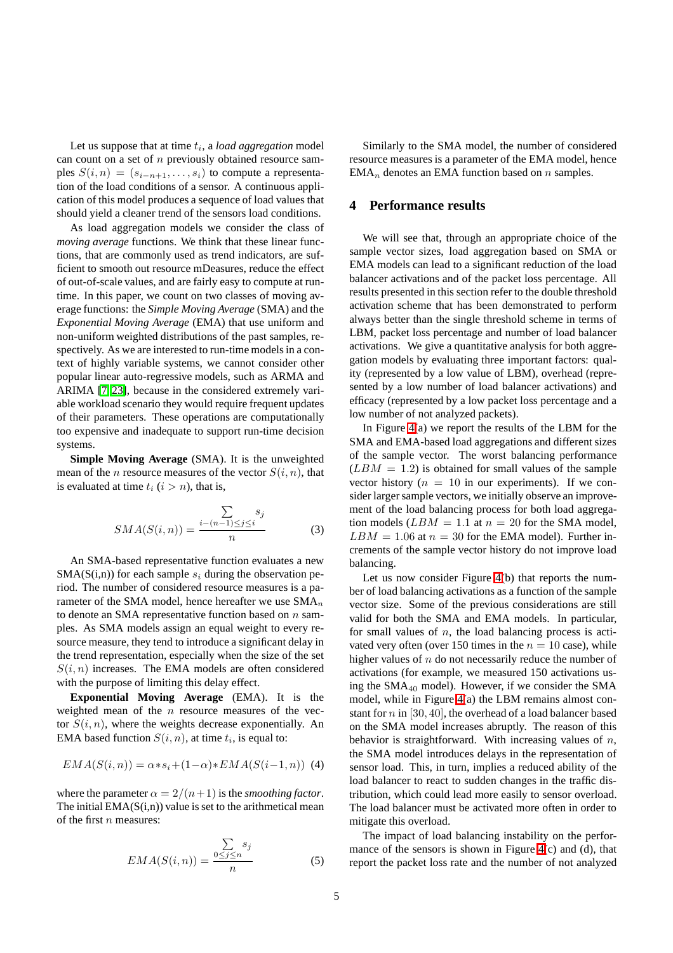Let us suppose that at time  $t_i$ , a *load aggregation* model can count on a set of n previously obtained resource samples  $S(i, n) = (s_{i-n+1}, \ldots, s_i)$  to compute a representation of the load conditions of a sensor. A continuous application of this model produces a sequence of load values that should yield a cleaner trend of the sensors load conditions.

As load aggregation models we consider the class of *moving average* functions. We think that these linear functions, that are commonly used as trend indicators, are sufficient to smooth out resource mDeasures, reduce the effect of out-of-scale values, and are fairly easy to compute at runtime. In this paper, we count on two classes of moving average functions: the *Simple Moving Average* (SMA) and the *Exponential Moving Average* (EMA) that use uniform and non-uniform weighted distributions of the past samples, respectively. As we are interested to run-time models in a context of highly variable systems, we cannot consider other popular linear auto-regressive models, such as ARMA and ARIMA [\[7,](#page-7-14) [23\]](#page-7-15), because in the considered extremely variable workload scenario they would require frequent updates of their parameters. These operations are computationally too expensive and inadequate to support run-time decision systems.

**Simple Moving Average** (SMA). It is the unweighted mean of the *n* resource measures of the vector  $S(i, n)$ , that is evaluated at time  $t_i$   $(i > n)$ , that is,

$$
SMA(S(i,n)) = \frac{\sum_{i-(n-1)\leq j\leq i} s_j}{n}
$$
 (3)

An SMA-based representative function evaluates a new  $SMA(S(i,n))$  for each sample  $s_i$  during the observation period. The number of considered resource measures is a parameter of the SMA model, hence hereafter we use  $SMA_n$ to denote an SMA representative function based on  $n$  samples. As SMA models assign an equal weight to every resource measure, they tend to introduce a significant delay in the trend representation, especially when the size of the set  $S(i, n)$  increases. The EMA models are often considered with the purpose of limiting this delay effect.

**Exponential Moving Average** (EMA). It is the weighted mean of the  $n$  resource measures of the vector  $S(i, n)$ , where the weights decrease exponentially. An EMA based function  $S(i, n)$ , at time  $t_i$ , is equal to:

$$
EMA(S(i, n)) = \alpha * s_i + (1 - \alpha) * EMA(S(i - 1, n))
$$
 (4)

where the parameter  $\alpha = 2/(n+1)$  is the *smoothing factor*. The initial  $EMA(S(i, n))$  value is set to the arithmetical mean of the first  $n$  measures:

$$
EMA(S(i, n)) = \frac{\sum_{0 \le j \le n} s_j}{n}
$$
 (5)

Similarly to the SMA model, the number of considered resource measures is a parameter of the EMA model, hence  $EMA_n$  denotes an EMA function based on n samples.

# <span id="page-4-0"></span>**4 Performance results**

We will see that, through an appropriate choice of the sample vector sizes, load aggregation based on SMA or EMA models can lead to a significant reduction of the load balancer activations and of the packet loss percentage. All results presented in this section refer to the double threshold activation scheme that has been demonstrated to perform always better than the single threshold scheme in terms of LBM, packet loss percentage and number of load balancer activations. We give a quantitative analysis for both aggregation models by evaluating three important factors: quality (represented by a low value of LBM), overhead (represented by a low number of load balancer activations) and efficacy (represented by a low packet loss percentage and a low number of not analyzed packets).

In Figure [4\(](#page-5-0)a) we report the results of the LBM for the SMA and EMA-based load aggregations and different sizes of the sample vector. The worst balancing performance  $(LBM = 1.2)$  is obtained for small values of the sample vector history ( $n = 10$  in our experiments). If we consider larger sample vectors, we initially observe an improvement of the load balancing process for both load aggregation models ( $LBM = 1.1$  at  $n = 20$  for the SMA model,  $LBM = 1.06$  at  $n = 30$  for the EMA model). Further increments of the sample vector history do not improve load balancing.

Let us now consider Figure [4\(](#page-5-0)b) that reports the number of load balancing activations as a function of the sample vector size. Some of the previous considerations are still valid for both the SMA and EMA models. In particular, for small values of  $n$ , the load balancing process is activated very often (over 150 times in the  $n = 10$  case), while higher values of  $n$  do not necessarily reduce the number of activations (for example, we measured 150 activations using the SMA<sup>40</sup> model). However, if we consider the SMA model, while in Figure [4\(](#page-5-0)a) the LBM remains almost constant for n in [30, 40], the overhead of a load balancer based on the SMA model increases abruptly. The reason of this behavior is straightforward. With increasing values of  $n$ , the SMA model introduces delays in the representation of sensor load. This, in turn, implies a reduced ability of the load balancer to react to sudden changes in the traffic distribution, which could lead more easily to sensor overload. The load balancer must be activated more often in order to mitigate this overload.

The impact of load balancing instability on the performance of the sensors is shown in Figure [4\(](#page-5-0)c) and (d), that report the packet loss rate and the number of not analyzed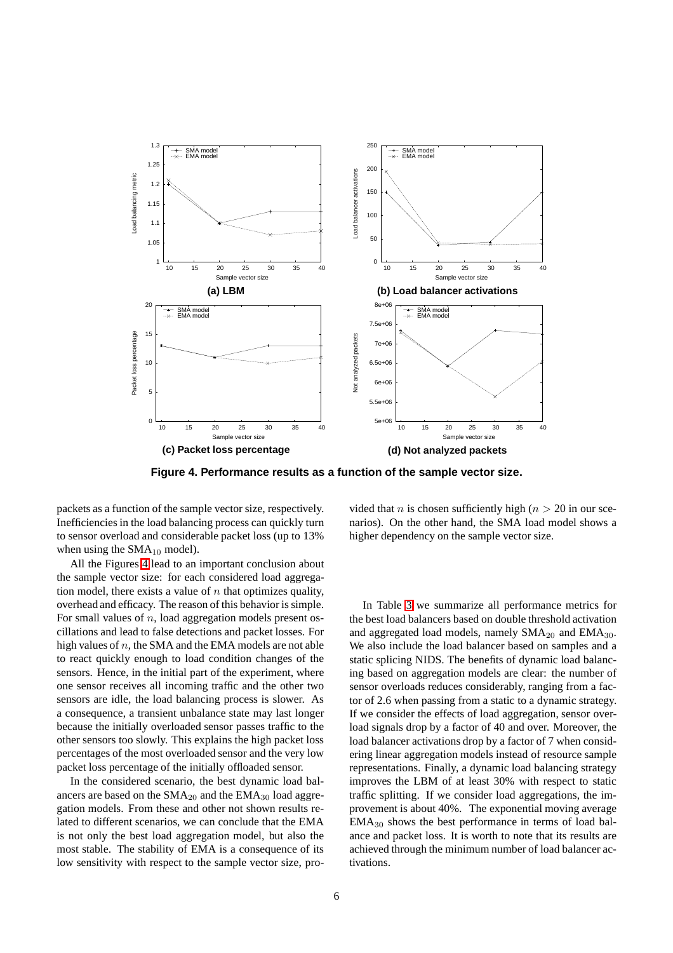

<span id="page-5-0"></span>**Figure 4. Performance results as a function of the sample vector size.**

packets as a function of the sample vector size, respectively. Inefficiencies in the load balancing process can quickly turn to sensor overload and considerable packet loss (up to 13% when using the  $SMA_{10}$  model).

All the Figures [4](#page-5-0) lead to an important conclusion about the sample vector size: for each considered load aggregation model, there exists a value of  $n$  that optimizes quality, overhead and efficacy. The reason of this behavior is simple. For small values of  $n$ , load aggregation models present oscillations and lead to false detections and packet losses. For high values of  $n$ , the SMA and the EMA models are not able to react quickly enough to load condition changes of the sensors. Hence, in the initial part of the experiment, where one sensor receives all incoming traffic and the other two sensors are idle, the load balancing process is slower. As a consequence, a transient unbalance state may last longer because the initially overloaded sensor passes traffic to the other sensors too slowly. This explains the high packet loss percentages of the most overloaded sensor and the very low packet loss percentage of the initially offloaded sensor.

In the considered scenario, the best dynamic load balancers are based on the  $SMA_{20}$  and the  $EMA_{30}$  load aggregation models. From these and other not shown results related to different scenarios, we can conclude that the EMA is not only the best load aggregation model, but also the most stable. The stability of EMA is a consequence of its low sensitivity with respect to the sample vector size, provided that *n* is chosen sufficiently high ( $n > 20$  in our scenarios). On the other hand, the SMA load model shows a higher dependency on the sample vector size.

In Table [3](#page-6-2) we summarize all performance metrics for the best load balancers based on double threshold activation and aggregated load models, namely  $SMA<sub>20</sub>$  and  $EMA<sub>30</sub>$ . We also include the load balancer based on samples and a static splicing NIDS. The benefits of dynamic load balancing based on aggregation models are clear: the number of sensor overloads reduces considerably, ranging from a factor of 2.6 when passing from a static to a dynamic strategy. If we consider the effects of load aggregation, sensor overload signals drop by a factor of 40 and over. Moreover, the load balancer activations drop by a factor of 7 when considering linear aggregation models instead of resource sample representations. Finally, a dynamic load balancing strategy improves the LBM of at least 30% with respect to static traffic splitting. If we consider load aggregations, the improvement is about 40%. The exponential moving average  $EMA<sub>30</sub>$  shows the best performance in terms of load balance and packet loss. It is worth to note that its results are achieved through the minimum number of load balancer activations.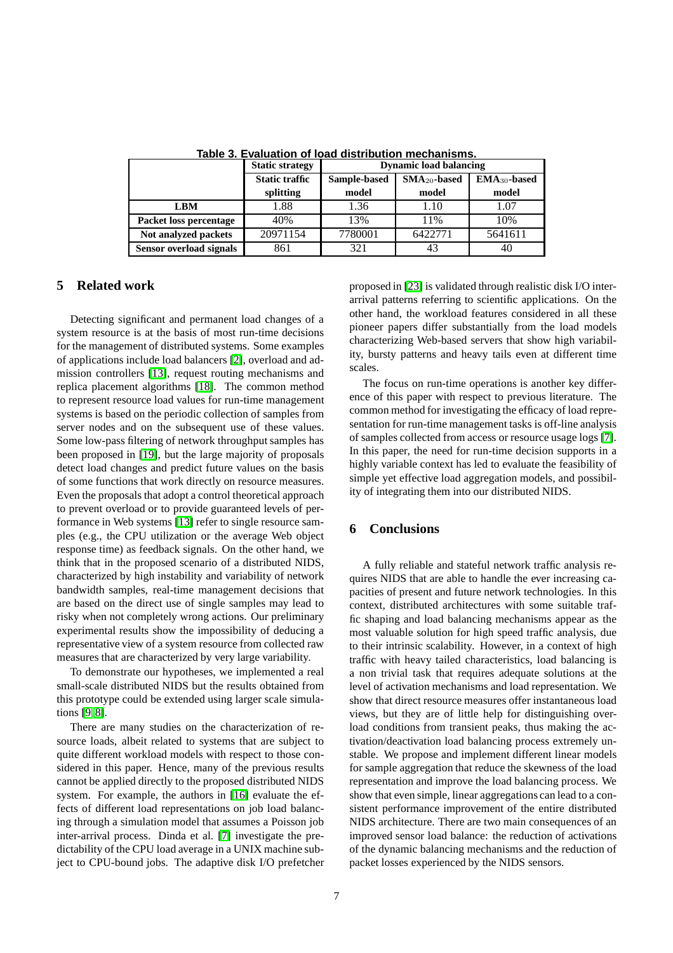|                         | <b>Static strategy</b> | <b>Dynamic load balancing</b> |                |                |  |
|-------------------------|------------------------|-------------------------------|----------------|----------------|--|
|                         | <b>Static traffic</b>  | Sample-based                  | $SMA20$ -based | $EMA30$ -based |  |
|                         | splitting              | model                         | model          | model          |  |
| LBM                     | 1.88                   | 1.36                          | 1.10           | 1.07           |  |
| Packet loss percentage  | 40%                    | 13%                           | 11%            | 10%            |  |
| Not analyzed packets    | 20971154               | 7780001                       | 6422771        | 5641611        |  |
| Sensor overload signals | 861                    | 321                           | 43             | 40             |  |

<span id="page-6-2"></span>**Table 3. Evaluation of load distribution mechanisms.**

## <span id="page-6-0"></span>**5 Related work**

Detecting significant and permanent load changes of a system resource is at the basis of most run-time decisions for the management of distributed systems. Some examples of applications include load balancers [\[2\]](#page-7-16), overload and admission controllers [\[13\]](#page-7-17), request routing mechanisms and replica placement algorithms [\[18\]](#page-7-18). The common method to represent resource load values for run-time management systems is based on the periodic collection of samples from server nodes and on the subsequent use of these values. Some low-pass filtering of network throughput samples has been proposed in [\[19\]](#page-7-19), but the large majority of proposals detect load changes and predict future values on the basis of some functions that work directly on resource measures. Even the proposals that adopt a control theoretical approach to prevent overload or to provide guaranteed levels of performance in Web systems [\[13\]](#page-7-17) refer to single resource samples (e.g., the CPU utilization or the average Web object response time) as feedback signals. On the other hand, we think that in the proposed scenario of a distributed NIDS, characterized by high instability and variability of network bandwidth samples, real-time management decisions that are based on the direct use of single samples may lead to risky when not completely wrong actions. Our preliminary experimental results show the impossibility of deducing a representative view of a system resource from collected raw measures that are characterized by very large variability.

To demonstrate our hypotheses, we implemented a real small-scale distributed NIDS but the results obtained from this prototype could be extended using larger scale simulations [\[9,](#page-7-20) [8\]](#page-7-21).

There are many studies on the characterization of resource loads, albeit related to systems that are subject to quite different workload models with respect to those considered in this paper. Hence, many of the previous results cannot be applied directly to the proposed distributed NIDS system. For example, the authors in [\[16\]](#page-7-22) evaluate the effects of different load representations on job load balancing through a simulation model that assumes a Poisson job inter-arrival process. Dinda et al. [\[7\]](#page-7-14) investigate the predictability of the CPU load average in a UNIX machine subject to CPU-bound jobs. The adaptive disk I/O prefetcher proposed in [\[23\]](#page-7-15) is validated through realistic disk I/O interarrival patterns referring to scientific applications. On the other hand, the workload features considered in all these pioneer papers differ substantially from the load models characterizing Web-based servers that show high variability, bursty patterns and heavy tails even at different time scales.

The focus on run-time operations is another key difference of this paper with respect to previous literature. The common method for investigating the efficacy of load representation for run-time management tasks is off-line analysis of samples collected from access or resource usage logs [\[7\]](#page-7-14). In this paper, the need for run-time decision supports in a highly variable context has led to evaluate the feasibility of simple yet effective load aggregation models, and possibility of integrating them into our distributed NIDS.

# <span id="page-6-1"></span>**6 Conclusions**

A fully reliable and stateful network traffic analysis requires NIDS that are able to handle the ever increasing capacities of present and future network technologies. In this context, distributed architectures with some suitable traffic shaping and load balancing mechanisms appear as the most valuable solution for high speed traffic analysis, due to their intrinsic scalability. However, in a context of high traffic with heavy tailed characteristics, load balancing is a non trivial task that requires adequate solutions at the level of activation mechanisms and load representation. We show that direct resource measures offer instantaneous load views, but they are of little help for distinguishing overload conditions from transient peaks, thus making the activation/deactivation load balancing process extremely unstable. We propose and implement different linear models for sample aggregation that reduce the skewness of the load representation and improve the load balancing process. We show that even simple, linear aggregations can lead to a consistent performance improvement of the entire distributed NIDS architecture. There are two main consequences of an improved sensor load balance: the reduction of activations of the dynamic balancing mechanisms and the reduction of packet losses experienced by the NIDS sensors.